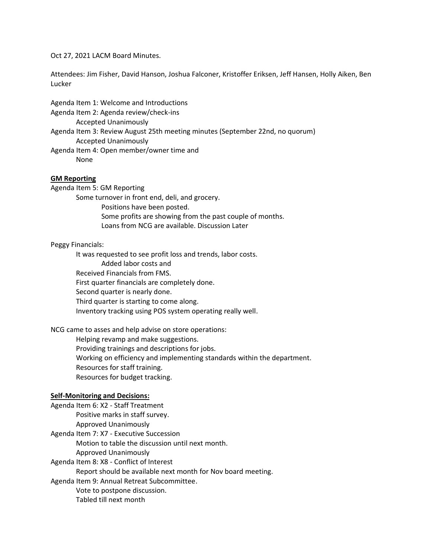#### Oct 27, 2021 LACM Board Minutes.

Attendees: Jim Fisher, David Hanson, Joshua Falconer, Kristoffer Eriksen, Jeff Hansen, Holly Aiken, Ben Lucker

Agenda Item 1: Welcome and Introductions Agenda Item 2: Agenda review/check-ins Accepted Unanimously Agenda Item 3: Review August 25th meeting minutes (September 22nd, no quorum) Accepted Unanimously Agenda Item 4: Open member/owner time and None

# **GM Reporting**

Agenda Item 5: GM Reporting

Some turnover in front end, deli, and grocery. Positions have been posted. Some profits are showing from the past couple of months. Loans from NCG are available. Discussion Later

## Peggy Financials:

It was requested to see profit loss and trends, labor costs. Added labor costs and Received Financials from FMS. First quarter financials are completely done. Second quarter is nearly done. Third quarter is starting to come along. Inventory tracking using POS system operating really well.

## NCG came to asses and help advise on store operations:

Helping revamp and make suggestions. Providing trainings and descriptions for jobs. Working on efficiency and implementing standards within the department. Resources for staff training. Resources for budget tracking.

## **Self-Monitoring and Decisions:**

Agenda Item 6: X2 - Staff Treatment Positive marks in staff survey. Approved Unanimously Agenda Item 7: X7 - Executive Succession Motion to table the discussion until next month. Approved Unanimously Agenda Item 8: X8 - Conflict of Interest

Report should be available next month for Nov board meeting.

Agenda Item 9: Annual Retreat Subcommittee. Vote to postpone discussion. Tabled till next month